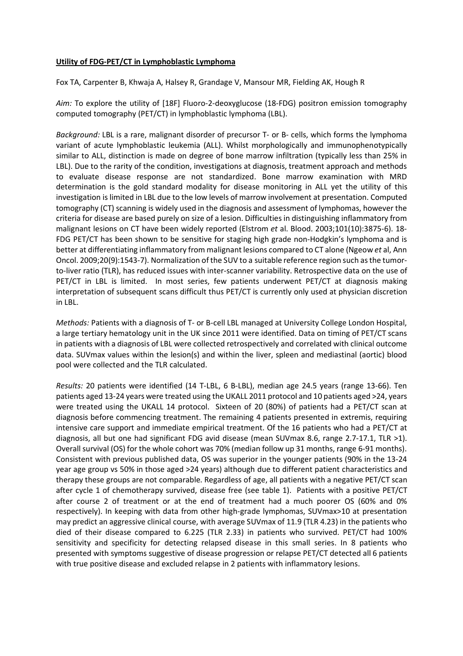## **Utility of FDG-PET/CT in Lymphoblastic Lymphoma**

Fox TA, Carpenter B, Khwaja A, Halsey R, Grandage V, Mansour MR, Fielding AK, Hough R

*Aim:* To explore the utility of [18F] Fluoro-2-deoxyglucose (18-FDG) positron emission tomography computed tomography (PET/CT) in lymphoblastic lymphoma (LBL).

*Background:* LBL is a rare, malignant disorder of precursor T- or B- cells, which forms the lymphoma variant of acute lymphoblastic leukemia (ALL). Whilst morphologically and immunophenotypically similar to ALL, distinction is made on degree of bone marrow infiltration (typically less than 25% in LBL). Due to the rarity of the condition, investigations at diagnosis, treatment approach and methods to evaluate disease response are not standardized. Bone marrow examination with MRD determination is the gold standard modality for disease monitoring in ALL yet the utility of this investigation is limited in LBL due to the low levels of marrow involvement at presentation. Computed tomography (CT) scanning is widely used in the diagnosis and assessment of lymphomas, however the criteria for disease are based purely on size of a lesion. Difficulties in distinguishing inflammatory from malignant lesions on CT have been widely reported (Elstrom *et* al. Blood. 2003;101(10):3875-6). 18- FDG PET/CT has been shown to be sensitive for staging high grade non-Hodgkin's lymphoma and is better at differentiating inflammatory from malignant lesions compared to CT alone (Ngeow *et* al, Ann Oncol. 2009;20(9):1543-7). Normalization of the SUV to a suitable reference region such asthe tumorto-liver ratio (TLR), has reduced issues with inter-scanner variability. Retrospective data on the use of PET/CT in LBL is limited. In most series, few patients underwent PET/CT at diagnosis making interpretation of subsequent scans difficult thus PET/CT is currently only used at physician discretion in LBL.

*Methods:* Patients with a diagnosis of T- or B-cell LBL managed at University College London Hospital, a large tertiary hematology unit in the UK since 2011 were identified. Data on timing of PET/CT scans in patients with a diagnosis of LBL were collected retrospectively and correlated with clinical outcome data. SUVmax values within the lesion(s) and within the liver, spleen and mediastinal (aortic) blood pool were collected and the TLR calculated.

*Results:* 20 patients were identified (14 T-LBL, 6 B-LBL), median age 24.5 years (range 13-66). Ten patients aged 13-24 years were treated using the UKALL 2011 protocol and 10 patients aged >24, years were treated using the UKALL 14 protocol. Sixteen of 20 (80%) of patients had a PET/CT scan at diagnosis before commencing treatment. The remaining 4 patients presented in extremis, requiring intensive care support and immediate empirical treatment. Of the 16 patients who had a PET/CT at diagnosis, all but one had significant FDG avid disease (mean SUVmax 8.6, range 2.7-17.1, TLR >1). Overall survival (OS) for the whole cohort was 70% (median follow up 31 months, range 6-91 months). Consistent with previous published data, OS was superior in the younger patients (90% in the 13-24 year age group vs 50% in those aged >24 years) although due to different patient characteristics and therapy these groups are not comparable. Regardless of age, all patients with a negative PET/CT scan after cycle 1 of chemotherapy survived, disease free (see table 1). Patients with a positive PET/CT after course 2 of treatment or at the end of treatment had a much poorer OS (60% and 0% respectively). In keeping with data from other high-grade lymphomas, SUVmax>10 at presentation may predict an aggressive clinical course, with average SUVmax of 11.9 (TLR 4.23) in the patients who died of their disease compared to 6.225 (TLR 2.33) in patients who survived. PET/CT had 100% sensitivity and specificity for detecting relapsed disease in this small series. In 8 patients who presented with symptoms suggestive of disease progression or relapse PET/CT detected all 6 patients with true positive disease and excluded relapse in 2 patients with inflammatory lesions.